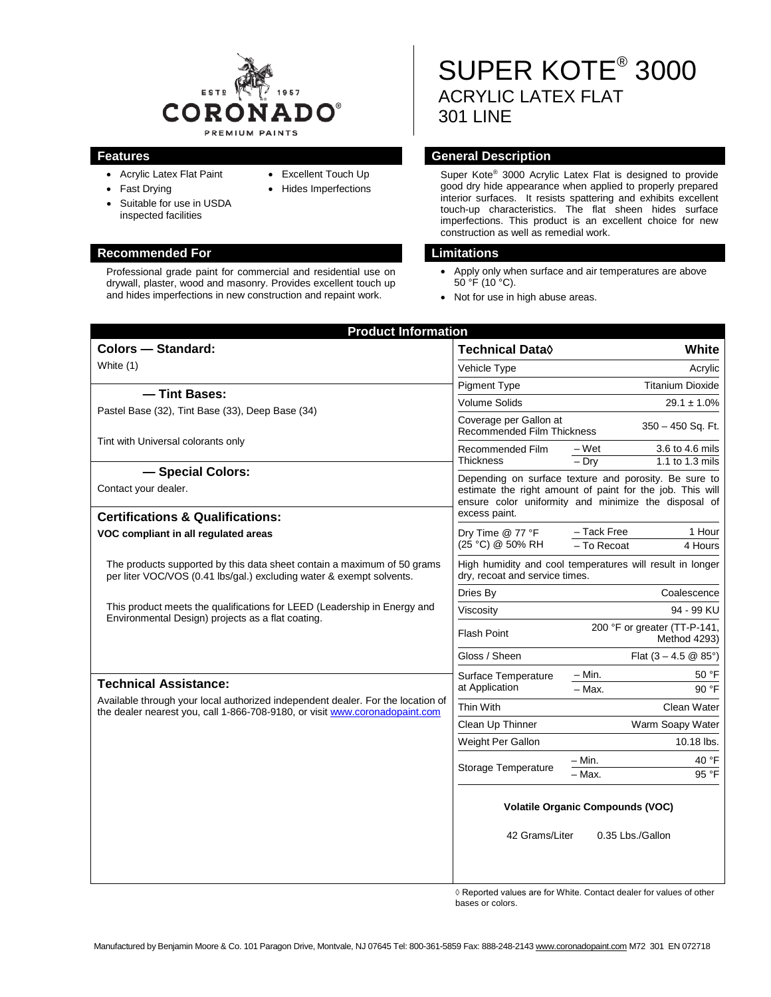

• Excellent Touch Up • Hides Imperfections

- Acrylic Latex Flat Paint
- Fast Drying
- Suitable for use in USDA inspected facilities

### **Recommended For Limitations**

Professional grade paint for commercial and residential use on drywall, plaster, wood and masonry. Provides excellent touch up and hides imperfections in new construction and repaint work.

# SUPER KOTE® 3000 ACRYLIC LATEX FLAT 301 LINE

### **Features General Description**

Super Kote® 3000 Acrylic Latex Flat is designed to provide good dry hide appearance when applied to properly prepared interior surfaces. It resists spattering and exhibits excellent touch-up characteristics. The flat sheen hides surface imperfections. This product is an excellent choice for new construction as well as remedial work.

- Apply only when surface and air temperatures are above  $50^{\circ}$ F (10 $^{\circ}$ C).
- Not for use in high abuse areas.

| <b>Product Information</b>                                                                                                                                                                                                                                             |                                                                                                                                                                                             |                                                   |
|------------------------------------------------------------------------------------------------------------------------------------------------------------------------------------------------------------------------------------------------------------------------|---------------------------------------------------------------------------------------------------------------------------------------------------------------------------------------------|---------------------------------------------------|
| <b>Colors - Standard:</b>                                                                                                                                                                                                                                              | <b>Technical Data</b> ♦                                                                                                                                                                     | White                                             |
| White (1)                                                                                                                                                                                                                                                              | Vehicle Type                                                                                                                                                                                | Acrylic                                           |
|                                                                                                                                                                                                                                                                        | <b>Pigment Type</b>                                                                                                                                                                         | <b>Titanium Dioxide</b>                           |
| - Tint Bases:                                                                                                                                                                                                                                                          | <b>Volume Solids</b>                                                                                                                                                                        | $29.1 \pm 1.0\%$                                  |
| Pastel Base (32), Tint Base (33), Deep Base (34)                                                                                                                                                                                                                       | Coverage per Gallon at<br>350 - 450 Sq. Ft.<br>Recommended Film Thickness                                                                                                                   |                                                   |
| Tint with Universal colorants only                                                                                                                                                                                                                                     | Recommended Film                                                                                                                                                                            | 3.6 to 4.6 mils<br>– Wet                          |
|                                                                                                                                                                                                                                                                        | <b>Thickness</b>                                                                                                                                                                            | $-$ Dry<br>1.1 to 1.3 mils                        |
| - Special Colors:<br>Contact your dealer.                                                                                                                                                                                                                              | Depending on surface texture and porosity. Be sure to<br>estimate the right amount of paint for the job. This will<br>ensure color uniformity and minimize the disposal of<br>excess paint. |                                                   |
| <b>Certifications &amp; Qualifications:</b>                                                                                                                                                                                                                            |                                                                                                                                                                                             |                                                   |
| VOC compliant in all regulated areas                                                                                                                                                                                                                                   | Dry Time @ 77 °F<br>(25 °C) @ 50% RH                                                                                                                                                        | - Tack Free<br>1 Hour<br>$-$ To Recoat<br>4 Hours |
| The products supported by this data sheet contain a maximum of 50 grams<br>per liter VOC/VOS (0.41 lbs/gal.) excluding water & exempt solvents.                                                                                                                        | High humidity and cool temperatures will result in longer<br>dry, recoat and service times.                                                                                                 |                                                   |
|                                                                                                                                                                                                                                                                        | Dries By                                                                                                                                                                                    | Coalescence                                       |
| This product meets the qualifications for LEED (Leadership in Energy and<br>Environmental Design) projects as a flat coating.                                                                                                                                          | Viscosity                                                                                                                                                                                   | 94 - 99 KU                                        |
|                                                                                                                                                                                                                                                                        | 200 °F or greater (TT-P-141,<br><b>Flash Point</b><br>Method 4293)                                                                                                                          |                                                   |
|                                                                                                                                                                                                                                                                        | Gloss / Sheen                                                                                                                                                                               | Flat $(3 - 4.5 \& 85^{\circ})$                    |
|                                                                                                                                                                                                                                                                        | Surface Temperature                                                                                                                                                                         | $-$ Min.<br>50 °F                                 |
| <b>Technical Assistance:</b><br>at Application<br>Available through your local authorized independent dealer. For the location of<br>Thin With<br>the dealer nearest you, call 1-866-708-9180, or visit www.coronadopaint.com<br>Clean Up Thinner<br>Weight Per Gallon |                                                                                                                                                                                             | - Max.<br>90 °F                                   |
|                                                                                                                                                                                                                                                                        |                                                                                                                                                                                             | Clean Water                                       |
|                                                                                                                                                                                                                                                                        |                                                                                                                                                                                             | Warm Soapy Water                                  |
|                                                                                                                                                                                                                                                                        |                                                                                                                                                                                             | 10.18 lbs.                                        |
|                                                                                                                                                                                                                                                                        | Storage Temperature                                                                                                                                                                         | 40 °F<br>– Min.<br>- Max.<br>95 °F                |
|                                                                                                                                                                                                                                                                        | <b>Volatile Organic Compounds (VOC)</b>                                                                                                                                                     |                                                   |
|                                                                                                                                                                                                                                                                        | 42 Grams/Liter                                                                                                                                                                              | 0.35 Lbs./Gallon                                  |

◊ Reported values are for White. Contact dealer for values of other bases or colors.